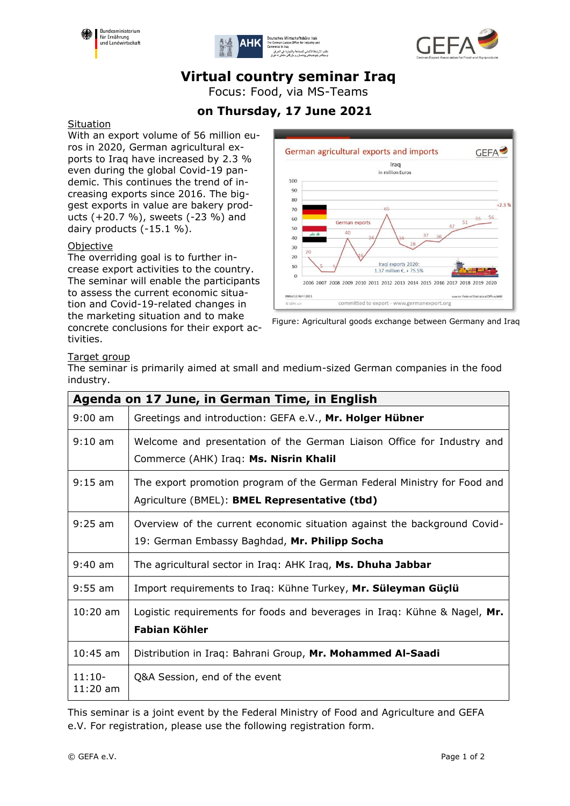





# **Virtual country seminar Iraq**

Focus: Food, via MS-Teams

### **on Thursday, 17 June 2021**

#### Situation

With an export volume of 56 million euros in 2020, German agricultural exports to Iraq have increased by 2.3 % even during the global Covid-19 pandemic. This continues the trend of increasing exports since 2016. The biggest exports in value are bakery products (+20.7 %), sweets (-23 %) and dairy products (-15.1 %).

#### **Objective**

The overriding goal is to further increase export activities to the country. The seminar will enable the participants to assess the current economic situation and Covid-19-related changes in the marketing situation and to make concrete conclusions for their export activities.



Figure: Agricultural goods exchange between Germany and Iraq

#### Target group

The seminar is primarily aimed at small and medium-sized German companies in the food industry.

| Agenda on 17 June, in German Time, in English |                                                                                                                           |  |
|-----------------------------------------------|---------------------------------------------------------------------------------------------------------------------------|--|
| $9:00$ am                                     | Greetings and introduction: GEFA e.V., Mr. Holger Hübner                                                                  |  |
| $9:10 \text{ am}$                             | Welcome and presentation of the German Liaison Office for Industry and<br>Commerce (AHK) Iraq: Ms. Nisrin Khalil          |  |
| $9:15$ am                                     | The export promotion program of the German Federal Ministry for Food and<br>Agriculture (BMEL): BMEL Representative (tbd) |  |
| $9:25$ am                                     | Overview of the current economic situation against the background Covid-<br>19: German Embassy Baghdad, Mr. Philipp Socha |  |
| $9:40$ am                                     | The agricultural sector in Iraq: AHK Iraq, Ms. Dhuha Jabbar                                                               |  |
| $9:55$ am                                     | Import requirements to Iraq: Kühne Turkey, Mr. Süleyman Güçlü                                                             |  |
| $10:20$ am                                    | Logistic requirements for foods and beverages in Iraq: Kühne & Nagel, Mr.<br><b>Fabian Köhler</b>                         |  |
| $10:45$ am                                    | Distribution in Iraq: Bahrani Group, Mr. Mohammed Al-Saadi                                                                |  |
| $11:10-$<br>$11:20$ am                        | Q&A Session, end of the event                                                                                             |  |

This seminar is a joint event by the Federal Ministry of Food and Agriculture and GEFA e.V. For registration, please use the following registration form.